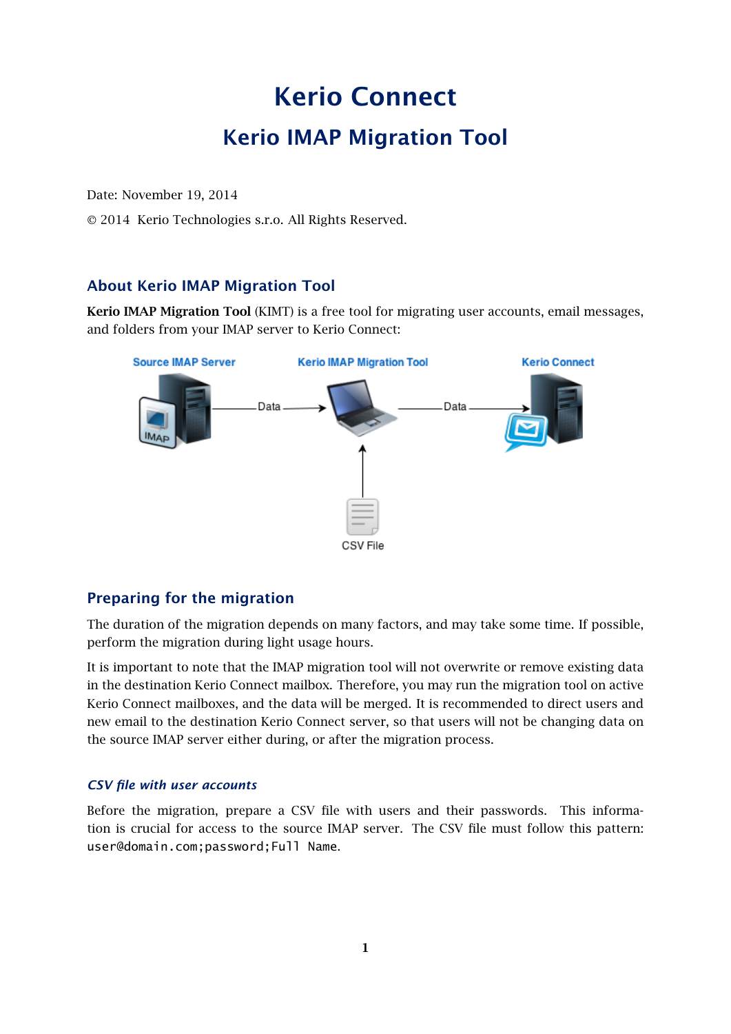# Kerio Connect

# Kerio IMAP Migration Tool

Date: November 19, 2014

2014 Kerio Technologies s.r.o. All Rights Reserved.

### About Kerio IMAP Migration Tool

Kerio IMAP Migration Tool (KIMT) is a free tool for migrating user accounts, email messages, and folders from your IMAP server to Kerio Connect:



#### Preparing for the migration

The duration of the migration depends on many factors, and may take some time. If possible, perform the migration during light usage hours.

It is important to note that the IMAP migration tool will not overwrite or remove existing data in the destination Kerio Connect mailbox. Therefore, you may run the migration tool on active Kerio Connect mailboxes, and the data will be merged. It is recommended to direct users and new email to the destination Kerio Connect server, so that users will not be changing data on the source IMAP server either during, or after the migration process.

#### *CSV file with user accounts*

Before the migration, prepare a CSV file with users and their passwords. This information is crucial for access to the source IMAP server. The CSV file must follow this pattern: user@domain.com;password;Full Name.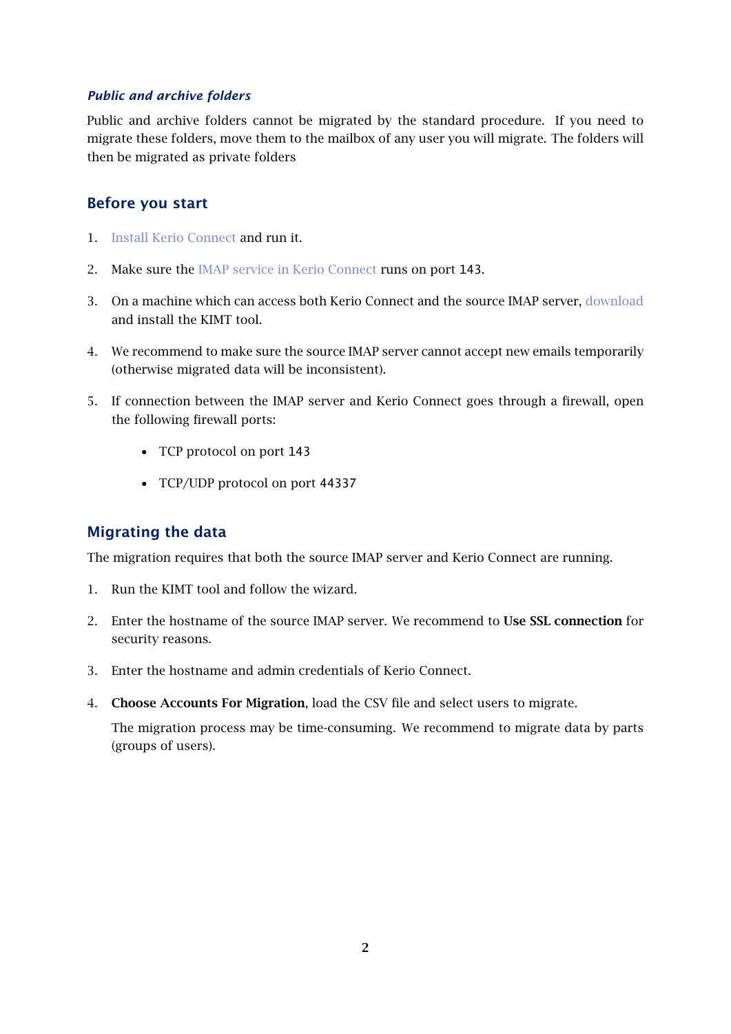#### *Public and archive folders*

Public and archive folders cannot be migrated by the standard procedure. If you need to migrate these folders, move them to the mailbox of any user you will migrate. The folders will then be migrated as private folders

#### Before you start

- 1. [Install Kerio Connect](kb.kerio.com/1124) and run it.
- 2. Make sure the [IMAP service in Kerio Connect](kb.kerio.com/1153) runs on port 143.
- 3. On a machine which can access both Kerio Connect and the source IMAP server, [download](http://www.kerio.com/connect/download) and install the KIMT tool.
- 4. We recommend to make sure the source IMAP server cannot accept new emails temporarily (otherwise migrated data will be inconsistent).
- 5. If connection between the IMAP server and Kerio Connect goes through a firewall, open the following firewall ports:
	- TCP protocol on port 143
	- TCP/UDP protocol on port 44337

### Migrating the data

The migration requires that both the source IMAP server and Kerio Connect are running.

- 1. Run the KIMT tool and follow the wizard.
- 2. Enter the hostname of the source IMAP server. We recommend to Use SSL connection for security reasons.
- 3. Enter the hostname and admin credentials of Kerio Connect.
- 4. Choose Accounts For Migration, load the CSV file and select users to migrate.

The migration process may be time-consuming. We recommend to migrate data by parts (groups of users).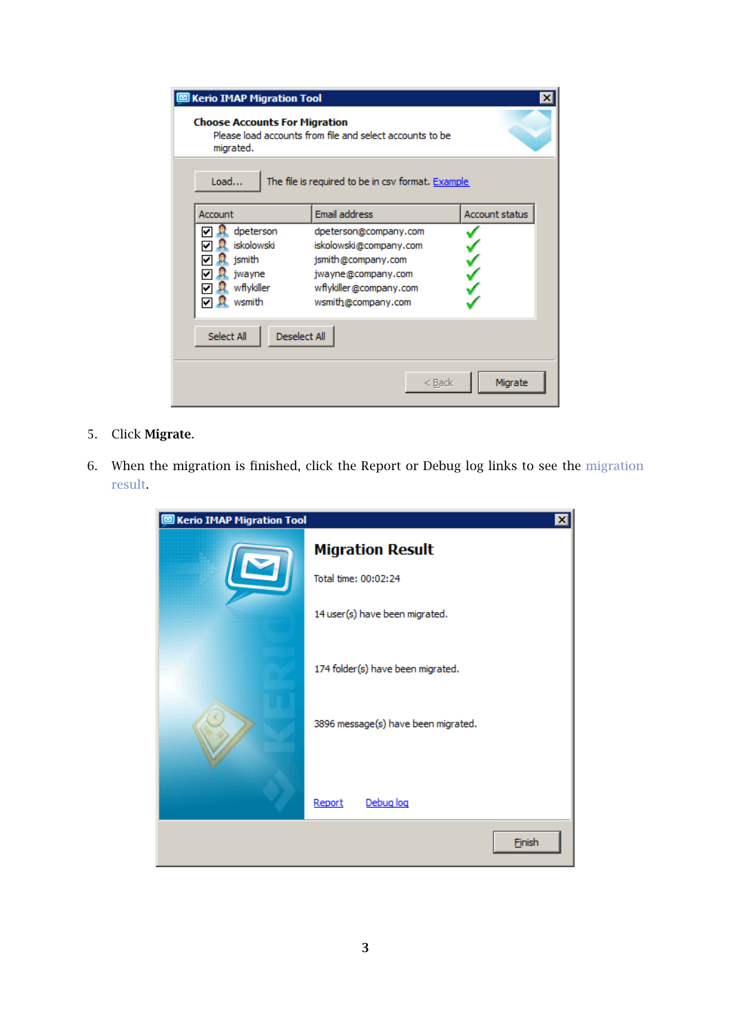| <b>Serio IMAP Migration Tool</b>                                                                              |                                                                                                                                             | ×                     |
|---------------------------------------------------------------------------------------------------------------|---------------------------------------------------------------------------------------------------------------------------------------------|-----------------------|
| <b>Choose Accounts For Migration</b><br>Please load accounts from file and select accounts to be<br>migrated. |                                                                                                                                             |                       |
| Load<br>The file is required to be in csv format. Example                                                     |                                                                                                                                             |                       |
| Account                                                                                                       | Email address                                                                                                                               | <b>Account status</b> |
| dpeterson<br>iskolowski<br>ismith<br>jwayne<br>wflykiller<br>wsmith                                           | dpeterson@company.com<br>iskolowski@company.com<br>jsmith@company.com<br>jwayne@company.com<br>wflykiller@company.com<br>wsmith@company.com |                       |
| <b>Deselect All</b><br>Select All                                                                             |                                                                                                                                             |                       |
|                                                                                                               | $<$ Back                                                                                                                                    | Migrate               |

- 5. Click Migrate.
- 6. When the migration is finished, click the Report or Debug log links to see the [migration](#page-3-0) [result.](#page-3-0)